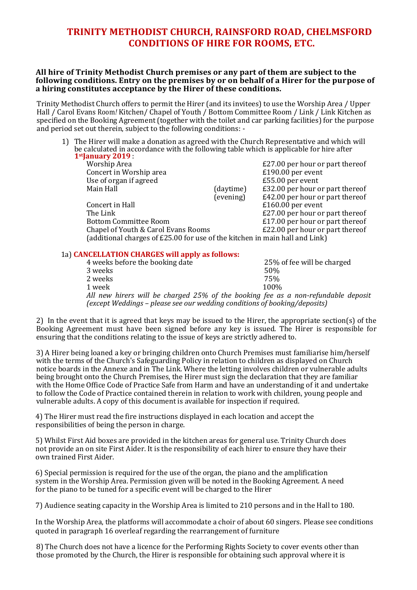## **TRINITY METHODIST CHURCH, RAINSFORD ROAD, CHELMSFORD CONDITIONS OF HIRE FOR ROOMS, ETC.**

## **All hire of Trinity Methodist Church premises or any part of them are subject to the following conditions. Entry on the premises by or on behalf of a Hirer for the purpose of a hiring constitutes acceptance by the Hirer of these conditions.**

Trinity Methodist Church offers to permit the Hirer (and its invitees) to use the Worship Area / Upper Hall / Carol Evans Room*!* Kitchen/ Chapel of Youth / Bottom Committee Room / Link / Link Kitchen as specified on the Booking Agreement (together with the toilet and car parking facilities) for the purpose and period set out therein, subject to the following conditions: -

1) The Hirer will make a donation as agreed with the Church Representative and which will be calculated in accordance with the following table which is applicable for hire after **1stJanuary 2019** :

| . јаниату 2017 г                                                            |           |                                 |
|-----------------------------------------------------------------------------|-----------|---------------------------------|
| Worship Area                                                                |           | £27.00 per hour or part thereof |
| Concert in Worship area                                                     |           | £190.00 per event               |
| Use of organ if agreed                                                      |           | £55.00 per event                |
| Main Hall                                                                   | (daytime) | £32.00 per hour or part thereof |
|                                                                             | (evening) | £42.00 per hour or part thereof |
| Concert in Hall                                                             |           | £160.00 per event               |
| The Link                                                                    |           | £27.00 per hour or part thereof |
| <b>Bottom Committee Room</b>                                                |           | £17.00 per hour or part thereof |
| Chapel of Youth & Carol Evans Rooms                                         |           | £22.00 per hour or part thereof |
| (additional charges of £25.00 for use of the kitchen in main hall and Link) |           |                                 |
|                                                                             |           |                                 |

## 1a) **CANCELLATION CHARGES will apply as follows:**

| 4 weeks before the booking date                                                   | 25% of fee will be charged |  |  |  |
|-----------------------------------------------------------------------------------|----------------------------|--|--|--|
| 3 weeks                                                                           | .50%                       |  |  |  |
| 2 weeks                                                                           | 75%                        |  |  |  |
| 1 week                                                                            | 100%                       |  |  |  |
| All new hirers will be charged 25% of the booking fee as a non-refundable deposit |                            |  |  |  |
| (except Weddings – please see our wedding conditions of booking/deposits)         |                            |  |  |  |

2) In the event that it is agreed that keys may be issued to the Hirer, the appropriate section(s) of the Booking Agreement must have been signed before any key is issued. The Hirer is responsible for ensuring that the conditions relating to the issue of keys are strictly adhered to.

3) A Hirer being loaned a key or bringing children onto Church Premises must familiarise him/herself with the terms of the Church's Safeguarding Policy in relation to children as displayed on Church notice boards in the Annexe and in The Link. Where the letting involves children or vulnerable adults being brought onto the Church Premises, the Hirer must sign the declaration that they are familiar with the Home Office Code of Practice Safe from Harm and have an understanding of it and undertake to follow the Code of Practice contained therein in relation to work with children, young people and vulnerable adults. A copy of this document is available for inspection if required.

4) The Hirer must read the fire instructions displayed in each location and accept the responsibilities of being the person in charge.

5) Whilst First Aid boxes are provided in the kitchen areas for general use. Trinity Church does not provide an on site First Aider. It is the responsibility of each hirer to ensure they have their own trained First Aider.

6) Special permission is required for the use of the organ, the piano and the amplification system in the Worship Area. Permission given will be noted in the Booking Agreement. A need for the piano to be tuned for a specific event will be charged to the Hirer

7) Audience seating capacity in the Worship Area is limited to 210 persons and in the Hall to 180.

In the Worship Area, the platforms will accommodate a choir of about 60 singers. Please see conditions quoted in paragraph 16 overleaf regarding the rearrangement of furniture

8) The Church does not have a licence for the Performing Rights Society to cover events other than those promoted by the Church, the Hirer is responsible for obtaining such approval where it is